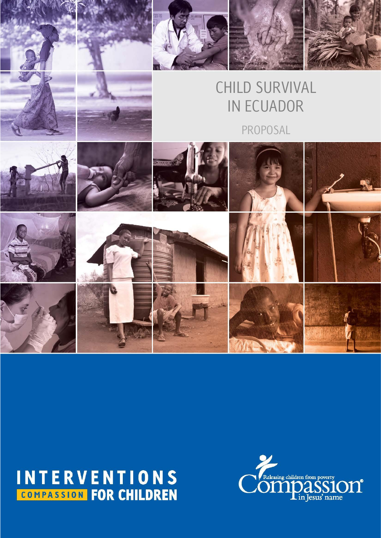







PROPOSAL



# **INTERVENTIONS**

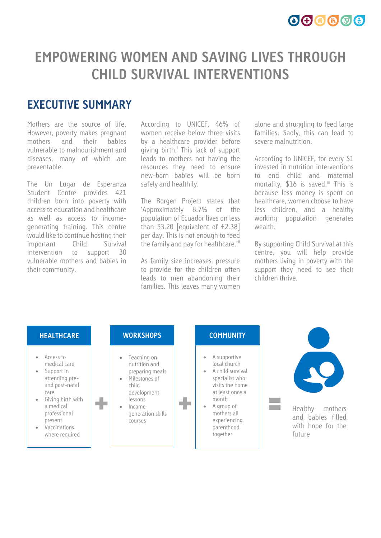## $\circ$   $\circ$   $\circ$   $\circ$   $\circ$

## **EMPOWERING WOMEN AND SAVING LIVES THROUGH CHILD SURVIVAL INTERVENTIONS**

## **EXECUTIVE SUMMARY**

Mothers are the source of life. However, poverty makes pregnant mothers and their babies vulnerable to malnourishment and diseases, many of which are preventable.

The Un Lugar de Esperanza Student Centre provides 421 children born into poverty with access to education and healthcare as well as access to incomegenerating training. This centre would like to continue hosting their important Child Survival intervention to support 30 vulnerable mothers and babies in their community.

According to UNICEF, 46% of women receive below three visits by a healthcare provider before giving birth. i This lack of support leads to mothers not having the resources they need to ensure new-born babies will be born safely and healthily.

The Borgen Project states that 'Approximately 8.7% of the population of Ecuador lives on less than \$3.20 [equivalent of £2.38] per day. This is not enough to feed the family and pay for healthcare.'ii

As family size increases, pressure to provide for the children often leads to men abandoning their families. This leaves many women

alone and struggling to feed large families. Sadly, this can lead to severe malnutrition.

According to UNICEF, for every \$1 invested in nutrition interventions to end child and maternal mortality, \$16 is saved.<sup>iii</sup> This is because less money is spent on healthcare, women choose to have less children, and a healthy working population generates wealth.

By supporting Child Survival at this centre, you will help provide mothers living in poverty with the support they need to see their children thrive.

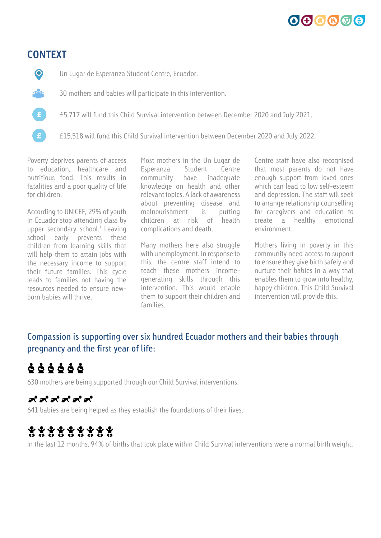

### **CONTEXT**

- $\bullet$ Un Lugar de Esperanza Student Centre, Ecuador.
- ii<sup>2</sup>ii

£

30 mothers and babies will participate in this intervention.

Œ.

£5,717 will fund this Child Survival intervention between December 2020 and July 2021.

£15,518 will fund this Child Survival intervention between December 2020 and July 2022.

Poverty deprives parents of access to education, healthcare and nutritious food. This results in fatalities and a poor quality of life for children.

According to UNICEF, 29% of youth in Ecuador stop attending class by upper secondary school. i Leaving school early prevents these children from learning skills that will help them to attain jobs with the necessary income to support their future families. This cycle leads to families not having the resources needed to ensure newborn babies will thrive.

Most mothers in the Un Lugar de Esperanza Student Centre community have inadequate knowledge on health and other relevant topics. A lack of awareness about preventing disease and malnourishment is putting children at risk of health complications and death.

Many mothers here also struggle with unemployment. In response to this, the centre staff intend to teach these mothers incomegenerating skills through this intervention. This would enable them to support their children and families.

Centre staff have also recognised that most parents do not have enough support from loved ones which can lead to low self-esteem and depression. The staff will seek to arrange relationship counselling for caregivers and education to create a healthy emotional environment.

Mothers living in poverty in this community need access to support to ensure they give birth safely and nurture their babies in a way that enables them to grow into healthy, happy children. This Child Survival intervention will provide this.

### Compassion is supporting over six hundred Ecuador mothers and their babies through pregnancy and the first year of life:

# ......

630 mothers are being supported through our Child Survival interventions.

## gere gere

641 babies are being helped as they establish the foundations of their lives.

# \*\*\*\*\*\*\*\*\*

In the last 12 months, 94% of births that took place within Child Survival interventions were a normal birth weight.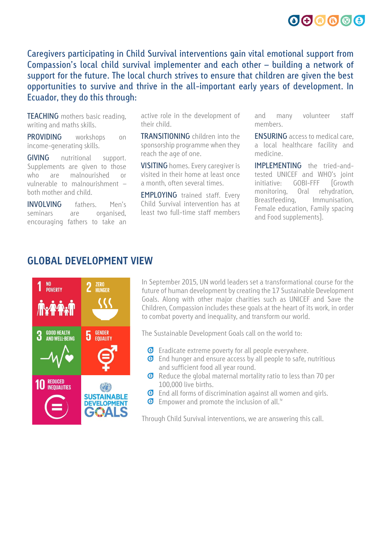

Caregivers participating in Child Survival interventions gain vital emotional support from Compassion's local child survival implementer and each other – building a network of support for the future. The local church strives to ensure that children are given the best opportunities to survive and thrive in the all-important early years of development. In Ecuador, they do this through:

TEACHING mothers basic reading, writing and maths skills.

PROVIDING workshops on income-generating skills.

GIVING nutritional support. Supplements are given to those who are malnourished or vulnerable to malnourishment – both mother and child.

INVOLVING fathers. Men's seminars are organised, encouraging fathers to take an active role in the development of their child.

TRANSITIONING children into the sponsorship programme when they reach the age of one.

VISITING homes. Every caregiver is visited in their home at least once a month, often several times.

**EMPLOYING** trained staff. Every Child Survival intervention has at least two full-time staff members

and many volunteer staff members.

ENSURING access to medical care, a local healthcare facility and medicine.

IMPLEMENTING the tried-andtested UNICEF and WHO's joint initiative: GOBI-FFF (Growth monitoring, Oral rehydration, Breastfeeding, Immunisation, Female education, Family spacing and Food supplements).

#### **GLOBAL DEVELOPMENT VIEW**



In September 2015, UN world leaders set a transformational course for the future of human development by creating the 17 Sustainable Development Goals. Along with other major charities such as UNICEF and Save the Children, Compassion includes these goals at the heart of its work, in order to combat poverty and inequality, and transform our world.

The Sustainable Development Goals call on the world to:

- G Eradicate extreme poverty for all people everywhere.
- End hunger and ensure access by all people to safe, nutritious and sufficient food all year round.
- Reduce the global maternal mortality ratio to less than 70 per 100,000 live births.
- End all forms of discrimination against all women and girls.
- $\bullet$  Empower and promote the inclusion of all.<sup>iv</sup>

Through Child Survival interventions, we are answering this call.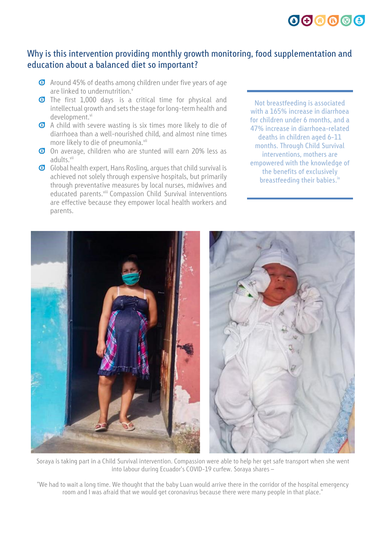

#### Why is this intervention providing monthly growth monitoring, food supplementation and education about a balanced diet so important?

- Around 45% of deaths among children under five years of age are linked to undernutrition.<sup>v</sup>
- [The first 1,000 days](https://www.globalhealthlearning.org/gheltaxonomy/term/4662) is a critical time for physical and intellectual growth and sets the stage for long-term health and development.<sup>vi</sup>
- A child with severe wasting is six times more likely to die of diarrhoea than a well-nourished child, and almost nine times more likely to die of pneumonia.<sup>vii</sup>
- On average, children who are stunted will earn 20% less as adults. vii
- G Global health expert, Hans Rosling, argues that child survival is achieved not solely through expensive hospitals, but primarily through preventative measures by local nurses, midwives and educated parents.<sup>viii</sup> Compassion Child Survival interventions are effective because they empower local health workers and parents.

Not breastfeeding is associated with a 165% increase in diarrhoea for children under 6 months, and a 47% increase in diarrhoea-related deaths in children aged 6-11 months. Through Child Survival interventions, mothers are empowered with the knowledge of the benefits of exclusively breastfeeding their babies.<sup>ix</sup>



Soraya is taking part in a Child Survival intervention. Compassion were able to help her get safe transport when she went into labour during Ecuador's COVID-19 curfew. Soraya shares –

"We had to wait a long time. We thought that the baby Luan would arrive there in the corridor of the hospital emergency room and I was afraid that we would get coronavirus because there were many people in that place."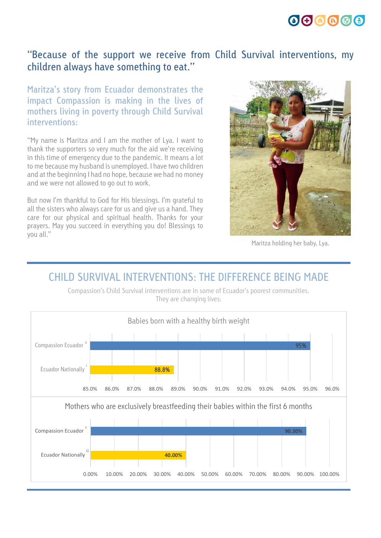

## ''Because of the support we receive from Child Survival interventions, my children always have something to eat.''

Maritza's story from Ecuador demonstrates the impact Compassion is making in the lives of mothers living in poverty through Child Survival interventions:

''My name is Maritza and I am the mother of Lya. I want to thank the supporters so very much for the aid we're receiving in this time of emergency due to the pandemic. It means a lot to me because my husband is unemployed. I have two children and at the beginning I had no hope, because we had no money and we were not allowed to go out to work.

But now I'm thankful to God for His blessings. I'm grateful to all the sisters who always care for us and give us a hand. They care for our physical and spiritual health. Thanks for your prayers. May you succeed in everything you do! Blessings to you all.''



Maritza holding her baby, Lya.

## CHILD SURVIVAL INTERVENTIONS: THE DIFFERENCE BEING MADE



Compassion's Child Survival interventions are in some of Ecuador's poorest communities. They are changing lives: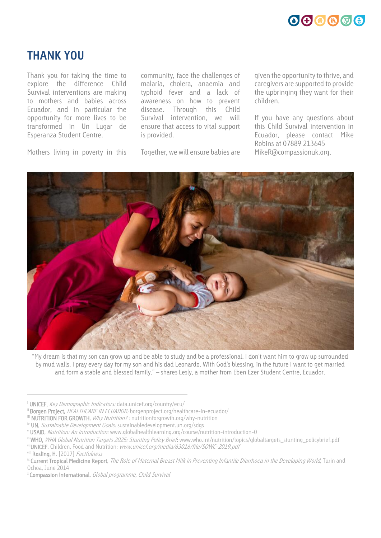

## **THANK YOU**

Thank you for taking the time to explore the difference Child Survival interventions are making to mothers and babies across Ecuador, and in particular the opportunity for more lives to be transformed in Un Lugar de Esperanza Student Centre.

Mothers living in poverty in this

community, face the challenges of malaria, cholera, anaemia and typhoid fever and a lack of awareness on how to prevent disease. Through this Child Survival intervention, we will ensure that access to vital support is provided.

Together, we will ensure babies are

given the opportunity to thrive, and caregivers are supported to provide the upbringing they want for their children.

If you have any questions about this Child Survival intervention in Ecuador, please contact Mike Robins at 07889 213645 MikeR@compassionuk.org.



"My dream is that my son can grow up and be able to study and be a professional. I don't want him to grow up surrounded by mud walls. I pray every day for my son and his dad Leonardo. With God's blessing, in the future I want to get married and form a stable and blessed family." – shares Lesly, a mother from Eben Ezer Student Centre, Ecuador.

<sup>&</sup>lt;sup>i</sup> UNICEF, *Key Demographic Indicators:* data.unicef.org/country/ecu/

ii Borgen Project, HEALTHCARE IN ECUADOR: borgenproject.org/healthcare-in-ecuador/

iii NUTRITION FOR GROWTH, *Why Nutrition?*: nutritionforgrowth.org/why-nutrition

iv UN, Sustainable Development Goals: sustainabledevelopment.un.org/sdgs

<sup>v</sup> USAID, Nutrition: An introduction: www.globalhealthlearning.org/course/nutrition-introduction-0

vi WHO, WHA Global Nutrition Targets 2025: Stunting Policy Brief: www.who.int/nutrition/topics/globaltargets\_stunting\_policybrief.pdf vii**UNICEF**, Children, Food and Nutrition: www.unicef.org/media/63016/file/SOWC-2019.pdf

viii Rosling, H. [2017] Factfulness

<sup>&</sup>lt;sup>ix</sup> Current Tropical Medicine Report, The Role of Maternal Breast Milk in Preventing Infantile Diarrhoea in the Developing World, Turin and Ochoa, June 2014

<sup>x</sup> Compassion International, Global programme, Child Survival